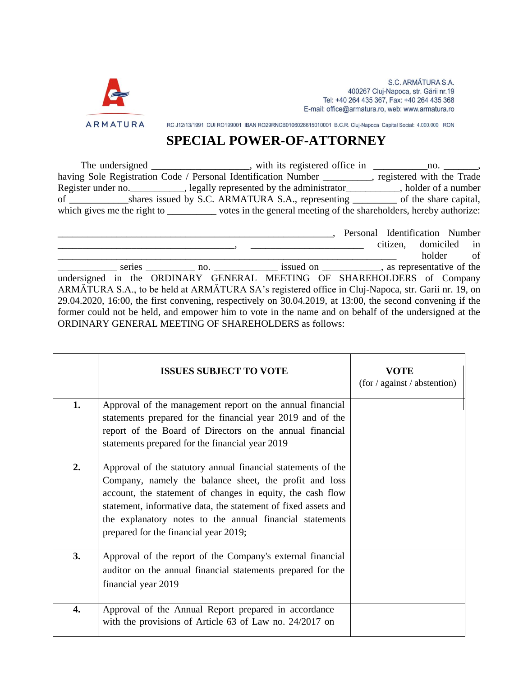

RC J12/13/1991 CUI RO199001 IBAN RO29RNCB0106026615010001 B.C.R. Cluj-Napoca Capital Social: 4.000.000 RON

## **SPECIAL POWER-OF-ATTORNEY**

The undersigned \_\_\_\_\_\_\_\_\_\_\_\_\_\_\_, with its registered office in \_\_\_\_\_\_\_\_\_\_\_\_\_\_\_\_\_, having Sole Registration Code / Personal Identification Number \_\_\_\_\_\_\_\_\_\_, registered with the Trade Register under no. \_\_\_\_\_\_\_\_\_\_\_, legally represented by the administrator\_\_\_\_\_\_\_\_\_\_, holder of a number of \_\_\_\_\_\_\_\_\_\_\_\_shares issued by S.C. ARMATURA S.A., representing \_\_\_\_\_\_\_\_\_ of the share capital, which gives me the right to \_\_\_\_\_\_\_\_\_\_\_ votes in the general meeting of the shareholders, hereby authorize:

\_\_\_\_\_\_\_\_\_\_\_\_\_\_\_\_\_\_\_\_\_\_\_\_\_\_\_\_\_\_\_\_\_\_\_\_\_\_\_\_\_\_\_\_\_\_\_\_\_\_\_\_\_\_\_\_, Personal Identification Number \_\_\_\_\_\_\_\_\_\_\_\_\_\_\_\_\_\_\_\_\_\_\_\_\_\_\_\_\_\_\_\_\_\_\_\_, \_\_\_\_\_\_\_\_\_\_\_\_\_\_\_\_\_\_\_\_\_\_\_ citizen, domiciled in \_\_\_\_\_\_\_\_\_\_\_\_\_\_\_\_\_\_\_\_\_\_\_\_\_\_\_\_\_\_\_\_\_\_\_\_\_\_\_\_\_\_\_\_\_\_\_\_\_\_\_\_\_\_\_\_\_\_\_\_\_\_\_\_\_\_\_\_\_ holder of eries \_\_\_\_\_\_\_\_\_\_ no. \_\_\_\_\_\_\_\_\_\_\_\_\_ issued on \_\_\_\_\_\_\_\_\_\_\_, as representative of the undersigned in the ORDINARY GENERAL MEETING OF SHAREHOLDERS of Company ARMĂTURA S.A., to be held at ARMĂTURA SA's registered office in Cluj-Napoca, str. Garii nr. 19, on 29.04.2020, 16:00, the first convening, respectively on 30.04.2019, at 13:00, the second convening if the former could not be held, and empower him to vote in the name and on behalf of the undersigned at the ORDINARY GENERAL MEETING OF SHAREHOLDERS as follows:

|    | <b>ISSUES SUBJECT TO VOTE</b>                                                                                                                                                                                                                                                                                                                               | VOTE<br>(for / against / abstention) |
|----|-------------------------------------------------------------------------------------------------------------------------------------------------------------------------------------------------------------------------------------------------------------------------------------------------------------------------------------------------------------|--------------------------------------|
| 1. | Approval of the management report on the annual financial<br>statements prepared for the financial year 2019 and of the<br>report of the Board of Directors on the annual financial<br>statements prepared for the financial year 2019                                                                                                                      |                                      |
| 2. | Approval of the statutory annual financial statements of the<br>Company, namely the balance sheet, the profit and loss<br>account, the statement of changes in equity, the cash flow<br>statement, informative data, the statement of fixed assets and<br>the explanatory notes to the annual financial statements<br>prepared for the financial year 2019; |                                      |
| 3. | Approval of the report of the Company's external financial<br>auditor on the annual financial statements prepared for the<br>financial year 2019                                                                                                                                                                                                            |                                      |
| 4. | Approval of the Annual Report prepared in accordance<br>with the provisions of Article 63 of Law no. 24/2017 on                                                                                                                                                                                                                                             |                                      |